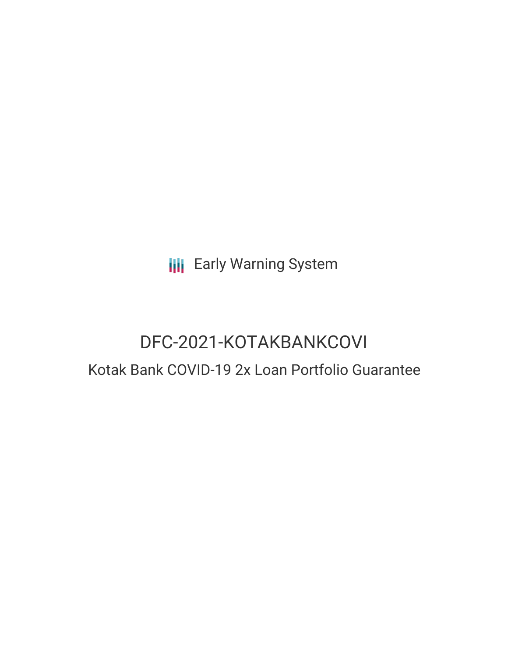**III** Early Warning System

# DFC-2021-KOTAKBANKCOVI Kotak Bank COVID-19 2x Loan Portfolio Guarantee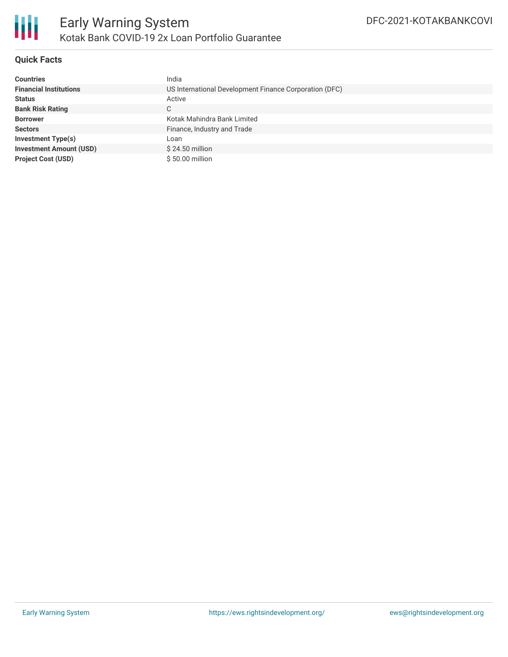

## **Quick Facts**

| <b>Countries</b>               | India                                                  |
|--------------------------------|--------------------------------------------------------|
| <b>Financial Institutions</b>  | US International Development Finance Corporation (DFC) |
| <b>Status</b>                  | Active                                                 |
| <b>Bank Risk Rating</b>        | C.                                                     |
| <b>Borrower</b>                | Kotak Mahindra Bank Limited                            |
| <b>Sectors</b>                 | Finance, Industry and Trade                            |
| Investment Type(s)             | Loan                                                   |
| <b>Investment Amount (USD)</b> | $$24.50$ million                                       |
| <b>Project Cost (USD)</b>      | \$50.00 million                                        |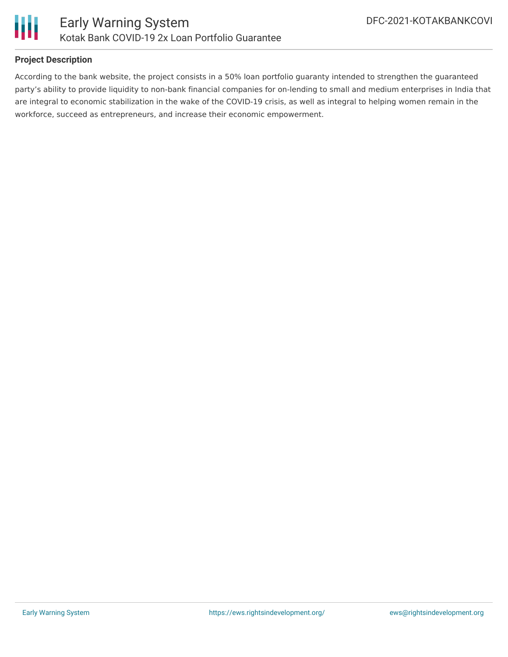



## **Project Description**

According to the bank website, the project consists in a 50% loan portfolio guaranty intended to strengthen the guaranteed party's ability to provide liquidity to non-bank financial companies for on-lending to small and medium enterprises in India that are integral to economic stabilization in the wake of the COVID-19 crisis, as well as integral to helping women remain in the workforce, succeed as entrepreneurs, and increase their economic empowerment.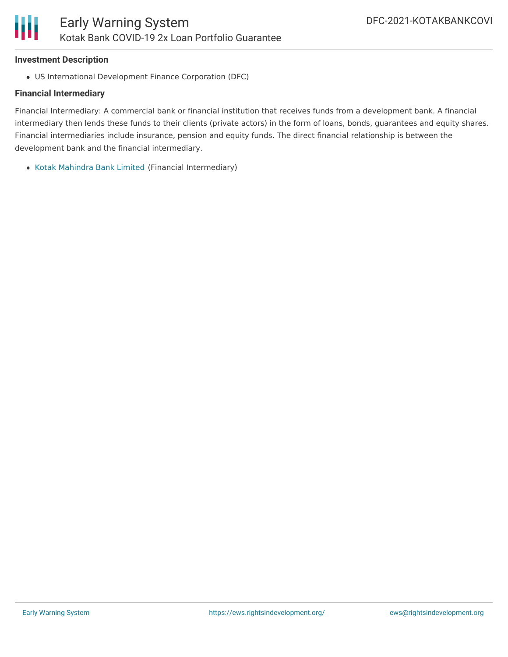

#### **Investment Description**

US International Development Finance Corporation (DFC)

### **Financial Intermediary**

Financial Intermediary: A commercial bank or financial institution that receives funds from a development bank. A financial intermediary then lends these funds to their clients (private actors) in the form of loans, bonds, guarantees and equity shares. Financial intermediaries include insurance, pension and equity funds. The direct financial relationship is between the development bank and the financial intermediary.

Kotak [Mahindra](file:///actor/7654/) Bank Limited (Financial Intermediary)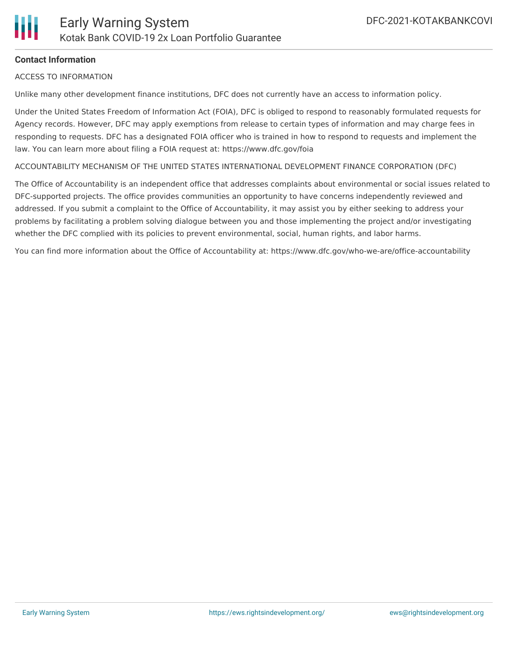

## **Contact Information**

ACCESS TO INFORMATION

Unlike many other development finance institutions, DFC does not currently have an access to information policy.

Under the United States Freedom of Information Act (FOIA), DFC is obliged to respond to reasonably formulated requests for Agency records. However, DFC may apply exemptions from release to certain types of information and may charge fees in responding to requests. DFC has a designated FOIA officer who is trained in how to respond to requests and implement the law. You can learn more about filing a FOIA request at: https://www.dfc.gov/foia

ACCOUNTABILITY MECHANISM OF THE UNITED STATES INTERNATIONAL DEVELOPMENT FINANCE CORPORATION (DFC)

The Office of Accountability is an independent office that addresses complaints about environmental or social issues related to DFC-supported projects. The office provides communities an opportunity to have concerns independently reviewed and addressed. If you submit a complaint to the Office of Accountability, it may assist you by either seeking to address your problems by facilitating a problem solving dialogue between you and those implementing the project and/or investigating whether the DFC complied with its policies to prevent environmental, social, human rights, and labor harms.

You can find more information about the Office of Accountability at: https://www.dfc.gov/who-we-are/office-accountability